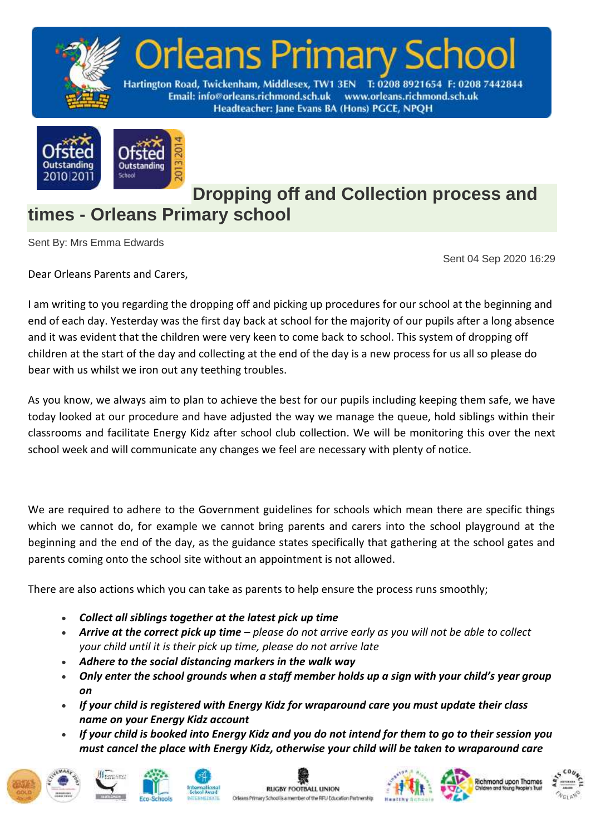



**Dropping off and Collection process and times - Orleans Primary school**

Sent By: Mrs Emma Edwards

Sent 04 Sep 2020 16:29

Dear Orleans Parents and Carers,

I am writing to you regarding the dropping off and picking up procedures for our school at the beginning and end of each day. Yesterday was the first day back at school for the majority of our pupils after a long absence and it was evident that the children were very keen to come back to school. This system of dropping off children at the start of the day and collecting at the end of the day is a new process for us all so please do bear with us whilst we iron out any teething troubles.

As you know, we always aim to plan to achieve the best for our pupils including keeping them safe, we have today looked at our procedure and have adjusted the way we manage the queue, hold siblings within their classrooms and facilitate Energy Kidz after school club collection. We will be monitoring this over the next school week and will communicate any changes we feel are necessary with plenty of notice.

We are required to adhere to the Government guidelines for schools which mean there are specific things which we cannot do, for example we cannot bring parents and carers into the school playground at the beginning and the end of the day, as the guidance states specifically that gathering at the school gates and parents coming onto the school site without an appointment is not allowed.

There are also actions which you can take as parents to help ensure the process runs smoothly;

- *Collect all siblings together at the latest pick up time*
- *Arrive at the correct pick up time – please do not arrive early as you will not be able to collect your child until it is their pick up time, please do not arrive late*
- *Adhere to the social distancing markers in the walk way*
- *Only enter the school grounds when a staff member holds up a sign with your child's year group on*
- *If your child is registered with Energy Kidz for wraparound care you must update their class name on your Energy Kidz account*
- *If your child is booked into Energy Kidz and you do not intend for them to go to their session you must cancel the place with Energy Kidz, otherwise your child will be taken to wraparound care*